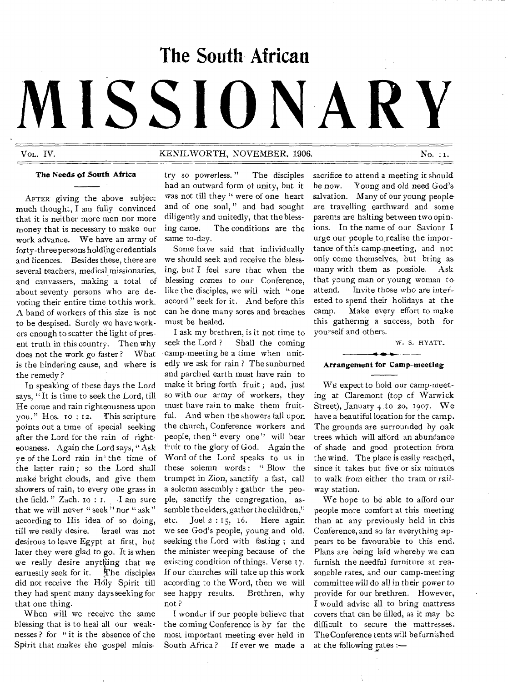# **The South African MISSIONARY**

## VOL. IV. NOVEMBER. 1906. No. 11.

#### **The Needs of South Africa**

AFTER' giving the above subject much thought, I am fully convinced that it is neither more men nor more money that is necessary to make our work advance. We have an army of forty-three persons holding credentials and licences. Besides these, there are several teachers, medical missionaries, and canvassers, making a total of about seventy persons who are devoting their entire time to this work. A band of workers of this size is not to be despised. Surely we have workers enough to scatter the light of present truth in this country. Then why does not the work go faster ? What is the hindering cause, and where is the remedy ?

In speaking of these days the Lord says, "It is time to seek the Lord, till He come and rain righteousness upon you." Hos.  $10:12$ . This scripture points out a time of special seeking after the Lord for the rain of righteousness. Again the Lord says, " Ask ye of the Lord rain in' the time of the latter rain ; so the Lord shall make bright clouds, and give them showers of rain, to every one grass in the field. " Zach. 10 : 1. I am sure that we will never " seek " nor " ask" according to His idea of so doing, till we really desire. Israel was not desirous to leave Egypt at first, but later they were glad to go. It is when we really desire anything that we earnestly seek for it. The disciples did not receive the Holy Spirit till they had spent many days seeking for that one thing.

When will we receive the same blessing that is to heal all our weaknesses ? for " it is the absence of the Spirit that makes the gospel ministry so powerless. " The disciples had an outward form of unity, but it was not till they " were of one heart and of one soul, " and had sought diligently and unitedly, that the blessing came. The conditions are the same to-day.

Some have said that individually we should seek and receive the blessing, but I feel sure that when the blessing comes to our Conference, like the disciples, we will with "one accord " seek for it. And before this can be done many sores and breaches must be healed.

I ask my brethren, is it not time to seek the Lord? Shall the coming camp-meeting be a time when unitedly we ask for rain ? The sunburned and parched earth must have rain to make it bring forth fruit ; and, just so with our army of workers, they must have rain to make them fruitful. And when the showers fall upon the church, Conference workers and people, then " every one " will bear fruit to the glory of God. Again the Word of the Lord speaks to us in these solemn words : " Blow the trumpet in Zion, sanctify a fast, call a solemn assembly : gather the people, sanctify the congregation, assemble the elders, gather the children," etc. Joel 2 : 15, 16. Here again we see God's people, young and old, seeking the Lord with fasting ; and the minister weeping because of the existing condition of things. Verse 17. If our churches will take up this work according to the Word, then we will see happy results. Brethren, why not ?

I wonder if our people believe that the coming Conference is by far the most important meeting ever held in South Africa? If ever we made a

sacrifice to attend a meeting it should be now. Young and old need God's salvation. Many of our young peopleare travelling earthward and some parents are halting between two opinions. In the name of our Saviour I urge our people to realise the importance of this camp-meeting, and not only come themselyes, but bring as many with them as possible. Ask that yaung man or young woman to attend. Invite those who are interested to spend their holidays at the camp. Make every effort to make this gathering a success, both for yourself and others.

W. S. HYATT.

## **Arrangement for Camp-meeting**

WE expect to hold our camp-meeting at Claremont (top cf Warwick Street), January 4 to 20, 1907. We have a beautiful location for the camp. The grounds are surrounded by oak trees which will afford an abundance of shade and good protection from the wind. The place is easily reached, since it takes but five or six minutes to walk from either the tram or railway station.

We hope to be able to afford our people more comfort at this meeting than at any previously held in this Conference, and so far everything appears to be favourable to this end. Plans are being laid whereby we can furnish the needful furniture at reasonable rates, and our camp-meeting committee will do all in their power to provide for our brethren. However, I would advise all to bring mattress covers that can be filled, as it may be difficult to secure the mattresses. The Conference tents will be furnished at the following rates :-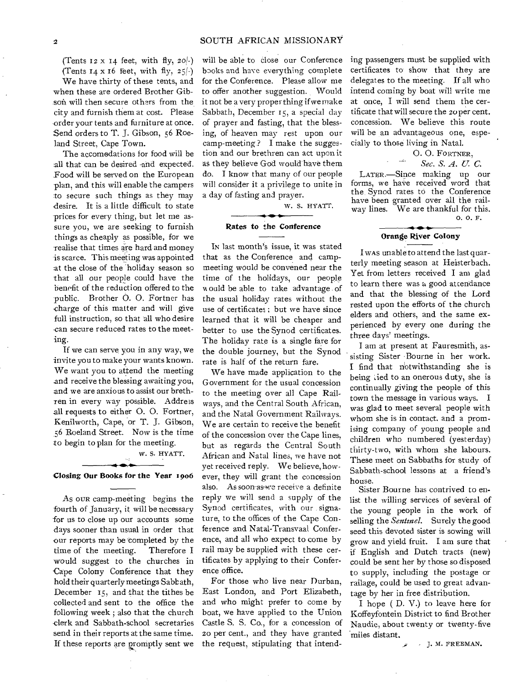(Tents  $12 \times 14$  feet, with fly,  $20(-)$ ) (Tents  $I_4$  x 16 feet, with fly,  $25/-$ )

We have thirty of these tents, and when these are ordered Brother Gibson will then secure others from the city and furnish them at cost. Please order your tents and furniture at once. Send orders to T. J. Gibson, 56 Roeland Street, Cape Town.

The accomodations for food will be all that can be desired -and expected. Food will be served on the European plan, and this will enable the campers to secure such things as they may desire. It is a little difficult to state prices for every thing, but let me assure you, we are seeking to furnish things as cheaply as possible, for we realise that times are hard and money is scarce. This meeting was appointed at the close of the holiday season so that all our people could have the benefit of the reduction offered to the public. Brother 0. 0. Fortner has •charge of this matter and will give full instruction, so that all who desire can secure reduced rates to the meeting.

If we can serve you in any way, we invite you to make your wants known. We want you to attend the meeting and receive the blessing awaiting you, and we are anxious to assist our brethren in every way possible. Address .all requests to either 0. 0. Fortner, Kenilworth, Cape, or T. J. Gibson, 56 Roeland Street. Now is the time to begin to plan for the meeting.

w. S. HYATT.

## Closing Our Books for the Year 1906

As OUR camp-meeting begins the fourth of January, it will be necessary for us to close up our accounts some days sooner than usual in order that our reports may be completed by the time of the meeting. Therefore I would suggest to the churches in 'Cape Colony Conference that they hold their quarterly meetings Sabbath, December 15, and that the tithes be collected and sent to the office the following week ; also that the church -clerk and Sabbath-school secretaries send in their reports at the same time. If these reports are gromptly sent we

will be able to close our Conference books and have everything complete for the Conference. Please allow me to offer another suggestion. Would it not be a very proper thing if we make Sabbath, December 15, a special day of prayer and fasting, that the blessing, of heaven may rest upon our camp-meeting ? I make the suggestion and our brethren can act upon it as they believe God would have them do. I know that many of our people will consider it a privilege to unite in a day of fasting and prayer.

W. S. HYATT.

### Rates to the Conference

IN last month's issue, it was stated that as the Conference and campmeeting would be convened near the time of the holidays, our people would be able to take advantage of the usual holiday rates without the use of certificates ; but we have since learned that it will be cheaper and better to use the Synod certificates. The holiday rate is a single fare for the double journey, but the Synod rate is half of the return fare.

We have made application to the Government for the usual concession to the meeting over all Cape Railways, and the Central South African, and the Natal Government Railways. We are certain to receive the benefit of the concession over the Cape lines, but as regards the Central South African and Natal lines, we have not yet received reply. We believe, however, they will grant the concession also. As soon-as-we receive a definite reply we will send a supply of the Synod certificates, with our signature, to the offices of the Cape Conference and Natal-Transvaal Conference, and all who expect to come by rail may be supplied with these certificates by applying to their Conference office.

For those who live near Durban, East London, and Port Elizabeth, and who might prefer to come by boat, we have applied to the Union Castle S. S. Co., for a concession of 20 per cent., and they have granted the request, stipulating that intending passengers must be supplied with certificates to show that they are delegates to the meeting. If all who intend coming by boat will write me at once, I will send them the certificate that will secure the 20 per cent. concession. We believe this route will be an advantageous one, especially to those living in Natal.

0. 0. FORTNER,

*\* Sec. S. A. U. C.* 

LATER.—Since making up our forms, we have received word that the. Synod rates to the Conference have been granted over all the railway lines. We are thankful for this.

O.O. F.

# Orange River Colony

I WAS unable to attend the last quarterly meeting season at Heisterbach. Yet from letters received I am glad to learn there was a good attendance and that the blessing of the Lord rested upon the efforts of the church elders and others, and the same experienced by every one during the three days' meetings.

I am at present at Fauresmith, assisting Sister Bourne in her work. I find that notwithstanding she is being .ied to an onerous duty, she is continually giving the people of this town the message in various ways. I was glad to meet several people with whom she is in contact, and a promising company of young people and children who numbered (yesterday) thirty-two, with whom she labours. These meet on Sabbaths for study of Sabbath-school lessons at a friend's house.

Sister Bourne has contrived to enlist the willing services of several of the young people in the work of selling the *Sentinel.* Surely the good seed this devoted sister is sowing will grow and yield fruit. I am sure that if English and Dutch tracts (new) could be sent her by those so disposed to supply, including the postage or railage, could be used to great advantage by her in free distribution.

I hope ( D. V.) to leave here for Koffeyfontein District to find Brother Naudie, about twenty or twenty-five miles distant.

j. M. FREEMAN.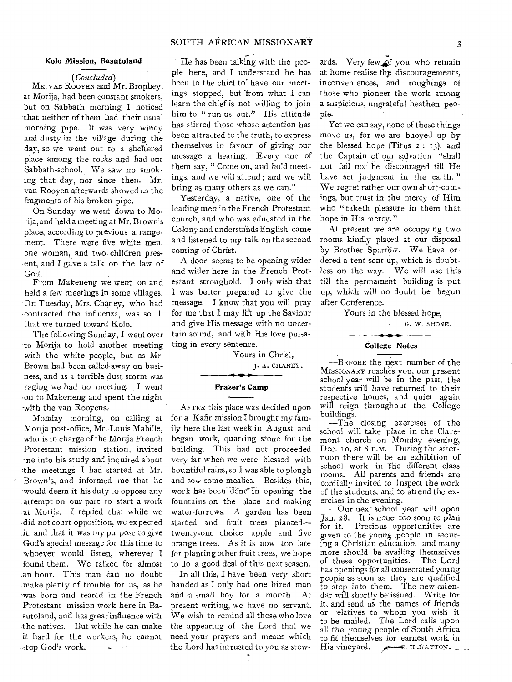## SOUTH AFRICAN MISSIONARY 3

#### Kolo Mission, Basutoland

*(Concluded)* 

MR. VAN ROOYEN and Mr. Brophey, at Morija, had been constant smokers, but on Sabbath morning I noticed that neither of them had their usual morning pipe. It was very windy and dusty in the village during the day, so we went out to a sheltered place among the rocks and had our Sabbath-school. We saw no smoking that day, nor since then. Mr. van Rooyen afterwards showed us the fragments of his broken pipe.

On Sunday we went down to Morija, and held a meeting at Mr. Brown's place, according to previous arrangement. There were five white men, one woman, and two children present, and I gave a talk on the law of God.

From Makeneng we went on and held a few meetings in some villages. On Tuesday, Mrs. Chaney, who had contracted the influenza, was so ill that we turned toward Kolo.

The following Sunday, I went over to Morija to hold another meeting with the white people, but as Mr. Brown had been called away on business, and as a terrible dust storm was raging we had no meeting. I went .on to Makeneng and spent the night with the van Rooyens.

Monday morning, on calling at Morija post-office, Mr. Louis Mabille, who is in charge of the Morija French Protestant mission station, invited :me into his study and inquired about :the meetings I had started at Mr. Brown's, and informed me that he would deem it his duty to oppose any attempt on our part to start a work at Morija. I replied that while we did not court opposition, we expected it, and that it was my purpose to give God's special message for this time to whoever would listen, wherever I found them. We talked for almost .an hour. This man can no doubt make plenty of trouble for us, as he was born and rearcd in the French Protestant mission work here in Basutoland, and has great influence with the natives. But while he can make it hard for the workers, he cannot stop God's work. **All States** 

He has been talking with the people here, and I understand he has been to the chief to' have our meetings stopped, but from what  $I$  can learn the chief is not willing to join him to "run us out." His attitude has stirred those whose attention has been attracted to the truth, to express themselves in favour of giving our message a hearing. Every one of them say, " Come on, and hold meetings, and we will attend; and we will bring as many others as we can."

Yesterday, a native, one of the leading men in the French Protestant church, and who was educated in the Colony and understands English, came and listened to my talk on the second coming of Christ.

A door seems to be opening wider and wider here in the French Protestant stronghold. I only wish that I was better prepared to give the message. I know that you will pray for me that I may lift up the Saviour and give His message with no uncertain sound, and with His love pulsating in every sentence.

Yours in Christ,

J. A. CHANEY.

#### Frazer's Camp

AFTER this place was decided upon for a Kafir mission I brought my family here the last week in August and began work, quarring stone for the building. This had not proceeded very far when we were blessed with bountiful rains, so I was able to plough and sow some mealies. Besides this, work has been done in opening the fountains on the place and making water-furrows. A garden has been started and fruit trees planted twenty-one choice apple and five orange trees. As it is now too late for planting other fruit trees, we hope to do a good deal of this next season.

In all this, I have been very short handed as I only had one hired man and a small boy for a month. At present writing, we have no servant. We wish to remind all those who love the appearing of the Lord that we need your prayers and means which the Lord has intrusted to you as stew- ..

ards. Very few of you who remain at home realise the discouragements, inconveniences, and roughings of those who pioneer the work among a suspicious, ungrateful heathen people.

Yet we can say, none of these things move us, for we are buoyed up by the blessed hope (Titus  $2: 13$ ), and the Captain of our salvation "shall not fail nor be discouraged till He have set judgment in the earth." We regret rather our own short-comings, but trust in the mercy of Him who " taketh pleasure in them that hope in His mercy."

At present we are occupying two rooms kindly placed at our disposal by Brother Sparrow. We have ordered a tent sent up, which is doubtless on the way. We will use this till the permatnent building is put up, which will no doubt be begun after Conference.

Yours in the blessed hope,

#### G. W. SHONE.

## College Notes

-BEFORE the next number of the MISSIONARY reaches you, our present school year will be in the past, the students will have returned to their respective homes, and quiet again will reign throughout the College buildings.

-The closing exercises of the school will take place in the Claremont church on Monday evening, Dec. 10, at 8 P.M. During the afternoon there will be an exhibition of school work in"the different class rooms. All parents and friends are cordially invited to inspect the work of the students, and to attend the exercises in the evening.

—Our next school year will open Jan. 28. It is none too soon to plan for it. Precious opportunities are given to the young people in securing a Christian education, and many more should be availing themselves of these opportunities. The Lord has openings for all consecrated young people as soon as they are qualified to step into them. The new calendar will shortly be'issued. Write for it, and send us the names of friends or relatives to whom you wish it to be mailed. The Lord calls upon all the young people of South Africa to fit themselves tor earnest work in His vineyard.  $\longrightarrow$  H. HAYTON.  $\longrightarrow$